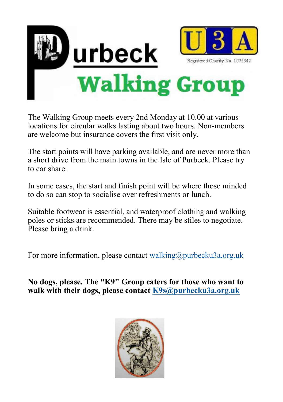

The Walking Group meets every 2nd Monday at 10.00 at various locations for circular walks lasting about two hours. Non-members are welcome but insurance covers the first visit only.

The start points will have parking available, and are never more than a short drive from the main towns in the Isle of Purbeck. Please try to car share.

In some cases, the start and finish point will be where those minded to do so can stop to socialise over refreshments or lunch.

Suitable footwear is essential, and waterproof clothing and walking poles or sticks are recommended. There may be stiles to negotiate. Please bring a drink.

For more information, please contact [walking@purbecku3a.org.uk](mailto:walking@purbecku3a.org.uk)

**No dogs, please. The "K9" Group caters for those who want to walk with their dogs, please contact [K9s@purbecku3a.org.uk](mailto:K9s@purbecku3a.org.uk)**